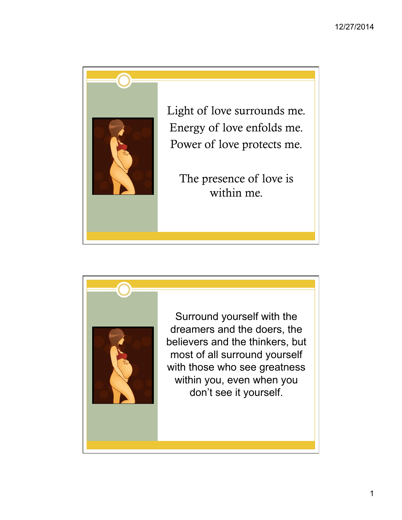

Light of love surrounds me. Energy of love enfolds me. Power of love protects me.

The presence of love is within me.



Surround yourself with the dreamers and the doers, the believers and the thinkers, but most of all surround yourself with those who see greatness within you, even when you don't see it yourself.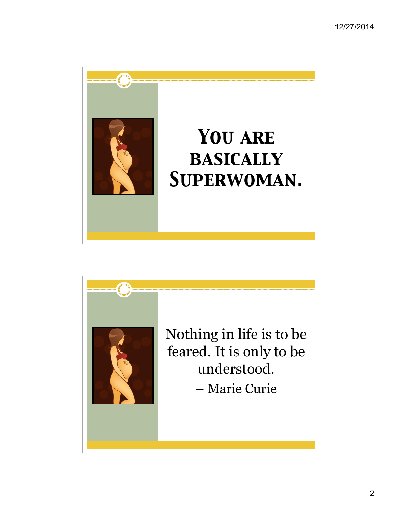

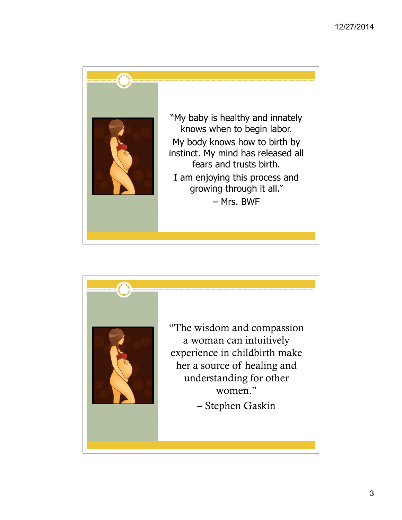

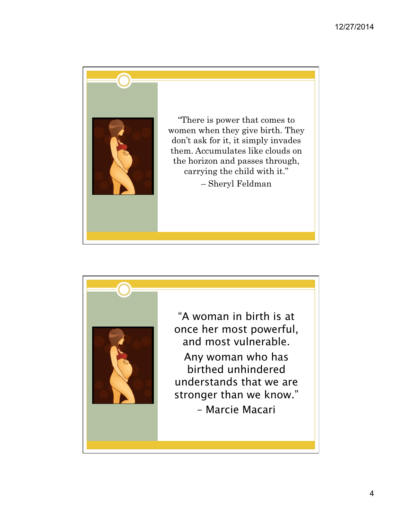

"There is power that comes to women when they give birth. They don't ask for it, it simply invades them. Accumulates like clouds on the horizon and passes through, carrying the child with it." – Sheryl Feldman



"A woman in birth is at once her most powerful, and most vulnerable. Any woman who has birthed unhindered understands that we are stronger than we know." – Marcie Macari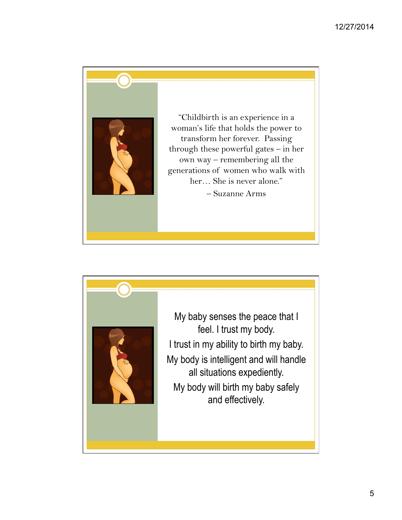

"Childbirth is an experience in a woman's life that holds the power to transform her forever. Passing through these powerful gates – in her own way – remembering all the generations of women who walk with her… She is never alone." – Suzanne Arms



My baby senses the peace that I feel. I trust my body. I trust in my ability to birth my baby. My body is intelligent and will handle all situations expediently. My body will birth my baby safely and effectively.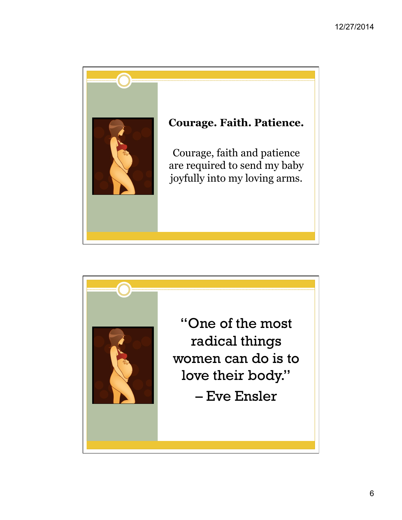

## **Courage. Faith. Patience.**

Courage, faith and patience are required to send my baby joyfully into my loving arms.

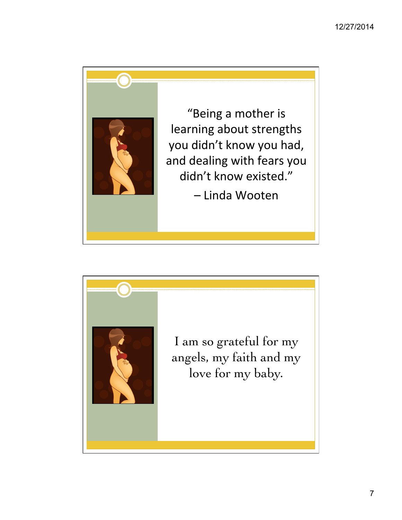

"Being a mother is learning about strengths you didn't know you had, and dealing with fears you didn't know existed."

– Linda Wooten 

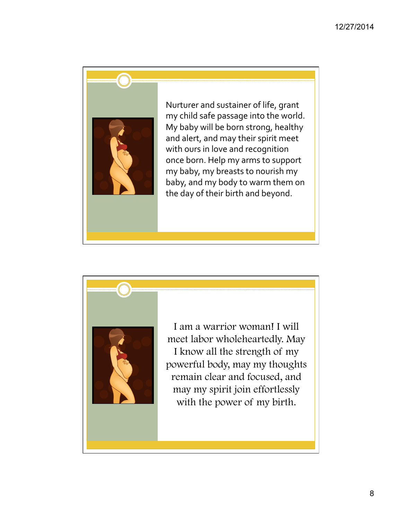

Nurturer and sustainer of life, grant my child safe passage into the world. My baby will be born strong, healthy and alert, and may their spirit meet with ours in love and recognition once born. Help my arms to support my baby, my breasts to nourish my baby, and my body to warm them on the day of their birth and beyond.



I am a warrior woman! I will meet labor wholeheartedly. May I know all the strength of my powerful body, may my thoughts remain clear and focused, and may my spirit join effortlessly with the power of my birth.